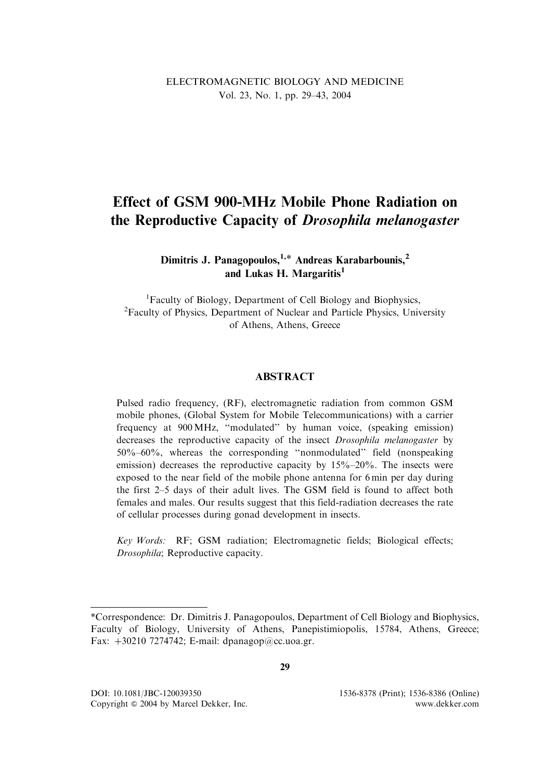# ELECTROMAGNETIC BIOLOGY AND MEDICINE Vol. 23, No. 1, pp. 29–43, 2004

# Effect of GSM 900-MHz Mobile Phone Radiation on the Reproductive Capacity of Drosophila melanogaster

# Dimitris J. Panagopoulos,  $1,*$  Andreas Karabarbounis,  $2$ and Lukas H. Margaritis $<sup>1</sup>$ </sup>

<sup>1</sup>Faculty of Biology, Department of Cell Biology and Biophysics, <sup>2</sup>Faculty of Physics, Department of Nuclear and Particle Physics, University of Athens, Athens, Greece

## **ABSTRACT**

Pulsed radio frequency, (RF), electromagnetic radiation from common GSM mobile phones, (Global System for Mobile Telecommunications) with a carrier frequency at 900 MHz, ''modulated'' by human voice, (speaking emission) decreases the reproductive capacity of the insect *Drosophila melanogaster* by 50%–60%, whereas the corresponding ''nonmodulated'' field (nonspeaking emission) decreases the reproductive capacity by 15%–20%. The insects were exposed to the near field of the mobile phone antenna for 6 min per day during the first 2–5 days of their adult lives. The GSM field is found to affect both females and males. Our results suggest that this field-radiation decreases the rate of cellular processes during gonad development in insects.

Key Words: RF; GSM radiation; Electromagnetic fields; Biological effects; Drosophila; Reproductive capacity.

<sup>\*</sup>Correspondence: Dr. Dimitris J. Panagopoulos, Department of Cell Biology and Biophysics, Faculty of Biology, University of Athens, Panepistimiopolis, 15784, Athens, Greece; Fax:  $+30210$  7274742; E-mail: dpanagop@cc.uoa.gr.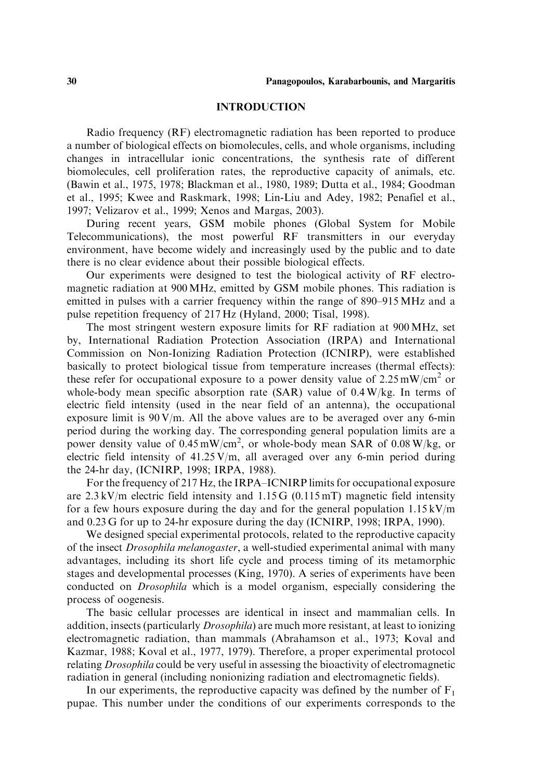#### INTRODUCTION

Radio frequency (RF) electromagnetic radiation has been reported to produce a number of biological effects on biomolecules, cells, and whole organisms, including changes in intracellular ionic concentrations, the synthesis rate of different biomolecules, cell proliferation rates, the reproductive capacity of animals, etc. (Bawin et al., 1975, 1978; Blackman et al., 1980, 1989; Dutta et al., 1984; Goodman et al., 1995; Kwee and Raskmark, 1998; Lin-Liu and Adey, 1982; Penafiel et al., 1997; Velizarov et al., 1999; Xenos and Margas, 2003).

During recent years, GSM mobile phones (Global System for Mobile Telecommunications), the most powerful RF transmitters in our everyday environment, have become widely and increasingly used by the public and to date there is no clear evidence about their possible biological effects.

Our experiments were designed to test the biological activity of RF electromagnetic radiation at 900 MHz, emitted by GSM mobile phones. This radiation is emitted in pulses with a carrier frequency within the range of 890–915 MHz and a pulse repetition frequency of 217 Hz (Hyland, 2000; Tisal, 1998).

The most stringent western exposure limits for RF radiation at 900 MHz, set by, International Radiation Protection Association (IRPA) and International Commission on Non-Ionizing Radiation Protection (ICNIRP), were established basically to protect biological tissue from temperature increases (thermal effects): these refer for occupational exposure to a power density value of  $2.25 \text{ mW/cm}^2$  or whole-body mean specific absorption rate (SAR) value of 0.4 W/kg. In terms of electric field intensity (used in the near field of an antenna), the occupational exposure limit is  $90 \text{ V/m}$ . All the above values are to be averaged over any 6-min period during the working day. The corresponding general population limits are a power density value of  $0.45 \text{ mW/cm}^2$ , or whole-body mean SAR of  $0.08 \text{ W/kg}$ , or electric field intensity of 41.25 V/m, all averaged over any 6-min period during the 24-hr day, (ICNIRP, 1998; IRPA, 1988).

For the frequency of 217 Hz, the IRPA–ICNIRP limits for occupational exposure are  $2.3 \text{ kV/m}$  electric field intensity and  $1.15 \text{ G}$  (0.115 mT) magnetic field intensity for a few hours exposure during the day and for the general population  $1.15 \text{ kV/m}$ and 0.23 G for up to 24-hr exposure during the day (ICNIRP, 1998; IRPA, 1990).

We designed special experimental protocols, related to the reproductive capacity of the insect Drosophila melanogaster, a well-studied experimental animal with many advantages, including its short life cycle and process timing of its metamorphic stages and developmental processes (King, 1970). A series of experiments have been conducted on Drosophila which is a model organism, especially considering the process of oogenesis.

The basic cellular processes are identical in insect and mammalian cells. In addition, insects (particularly Drosophila) are much more resistant, at least to ionizing electromagnetic radiation, than mammals (Abrahamson et al., 1973; Koval and Kazmar, 1988; Koval et al., 1977, 1979). Therefore, a proper experimental protocol relating Drosophila could be very useful in assessing the bioactivity of electromagnetic radiation in general (including nonionizing radiation and electromagnetic fields).

In our experiments, the reproductive capacity was defined by the number of  $F_1$ pupae. This number under the conditions of our experiments corresponds to the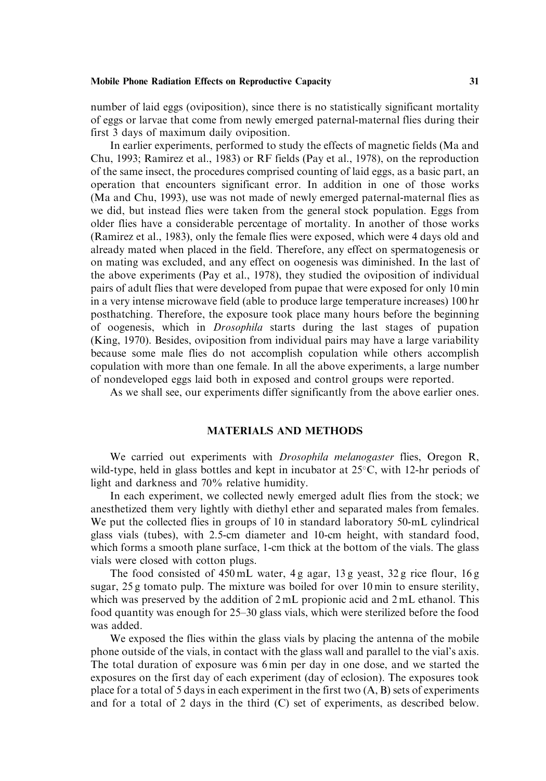number of laid eggs (oviposition), since there is no statistically significant mortality of eggs or larvae that come from newly emerged paternal-maternal flies during their first 3 days of maximum daily oviposition.

In earlier experiments, performed to study the effects of magnetic fields (Ma and Chu, 1993; Ramirez et al., 1983) or RF fields (Pay et al., 1978), on the reproduction of the same insect, the procedures comprised counting of laid eggs, as a basic part, an operation that encounters significant error. In addition in one of those works (Ma and Chu, 1993), use was not made of newly emerged paternal-maternal flies as we did, but instead flies were taken from the general stock population. Eggs from older flies have a considerable percentage of mortality. In another of those works (Ramirez et al., 1983), only the female flies were exposed, which were 4 days old and already mated when placed in the field. Therefore, any effect on spermatogenesis or on mating was excluded, and any effect on oogenesis was diminished. In the last of the above experiments (Pay et al., 1978), they studied the oviposition of individual pairs of adult flies that were developed from pupae that were exposed for only 10 min in a very intense microwave field (able to produce large temperature increases) 100 hr posthatching. Therefore, the exposure took place many hours before the beginning of oogenesis, which in Drosophila starts during the last stages of pupation (King, 1970). Besides, oviposition from individual pairs may have a large variability because some male flies do not accomplish copulation while others accomplish copulation with more than one female. In all the above experiments, a large number of nondeveloped eggs laid both in exposed and control groups were reported.

As we shall see, our experiments differ significantly from the above earlier ones.

## MATERIALS AND METHODS

We carried out experiments with *Drosophila melanogaster* flies, Oregon R, wild-type, held in glass bottles and kept in incubator at  $25^{\circ}$ C, with 12-hr periods of light and darkness and 70% relative humidity.

In each experiment, we collected newly emerged adult flies from the stock; we anesthetized them very lightly with diethyl ether and separated males from females. We put the collected flies in groups of 10 in standard laboratory 50-mL cylindrical glass vials (tubes), with 2.5-cm diameter and 10-cm height, with standard food, which forms a smooth plane surface, 1-cm thick at the bottom of the vials. The glass vials were closed with cotton plugs.

The food consisted of 450 mL water, 4 g agar, 13 g yeast, 32 g rice flour, 16 g sugar, 25 g tomato pulp. The mixture was boiled for over 10 min to ensure sterility, which was preserved by the addition of  $2 \text{ mL}$  propionic acid and  $2 \text{ mL}$  ethanol. This food quantity was enough for 25–30 glass vials, which were sterilized before the food was added.

We exposed the flies within the glass vials by placing the antenna of the mobile phone outside of the vials, in contact with the glass wall and parallel to the vial's axis. The total duration of exposure was 6 min per day in one dose, and we started the exposures on the first day of each experiment (day of eclosion). The exposures took place for a total of 5 days in each experiment in the first two (A, B) sets of experiments and for a total of 2 days in the third (C) set of experiments, as described below.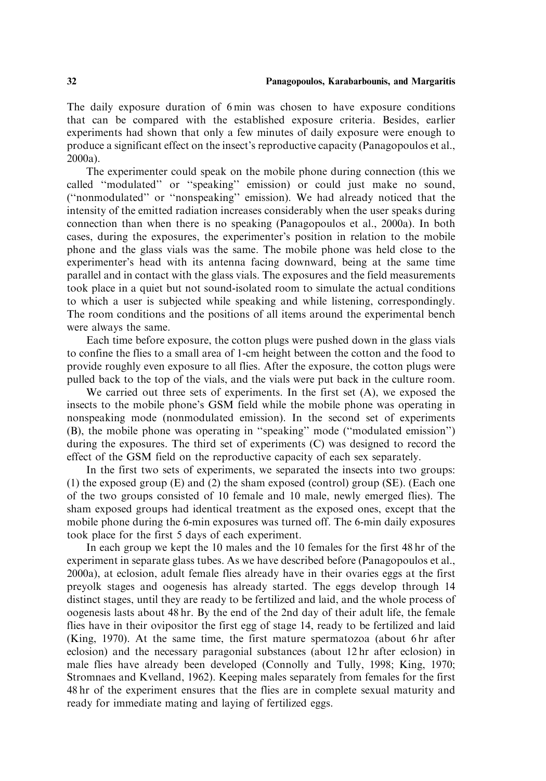The daily exposure duration of 6 min was chosen to have exposure conditions that can be compared with the established exposure criteria. Besides, earlier experiments had shown that only a few minutes of daily exposure were enough to produce a significant effect on the insect's reproductive capacity (Panagopoulos et al., 2000a).

The experimenter could speak on the mobile phone during connection (this we called ''modulated'' or ''speaking'' emission) or could just make no sound, (''nonmodulated'' or ''nonspeaking'' emission). We had already noticed that the intensity of the emitted radiation increases considerably when the user speaks during connection than when there is no speaking (Panagopoulos et al., 2000a). In both cases, during the exposures, the experimenter's position in relation to the mobile phone and the glass vials was the same. The mobile phone was held close to the experimenter's head with its antenna facing downward, being at the same time parallel and in contact with the glass vials. The exposures and the field measurements took place in a quiet but not sound-isolated room to simulate the actual conditions to which a user is subjected while speaking and while listening, correspondingly. The room conditions and the positions of all items around the experimental bench were always the same.

Each time before exposure, the cotton plugs were pushed down in the glass vials to confine the flies to a small area of 1-cm height between the cotton and the food to provide roughly even exposure to all flies. After the exposure, the cotton plugs were pulled back to the top of the vials, and the vials were put back in the culture room.

We carried out three sets of experiments. In the first set (A), we exposed the insects to the mobile phone's GSM field while the mobile phone was operating in nonspeaking mode (nonmodulated emission). In the second set of experiments (B), the mobile phone was operating in ''speaking'' mode (''modulated emission'') during the exposures. The third set of experiments (C) was designed to record the effect of the GSM field on the reproductive capacity of each sex separately.

In the first two sets of experiments, we separated the insects into two groups: (1) the exposed group (E) and (2) the sham exposed (control) group (SE). (Each one of the two groups consisted of 10 female and 10 male, newly emerged flies). The sham exposed groups had identical treatment as the exposed ones, except that the mobile phone during the 6-min exposures was turned off. The 6-min daily exposures took place for the first 5 days of each experiment.

In each group we kept the 10 males and the 10 females for the first 48 hr of the experiment in separate glass tubes. As we have described before (Panagopoulos et al., 2000a), at eclosion, adult female flies already have in their ovaries eggs at the first preyolk stages and oogenesis has already started. The eggs develop through 14 distinct stages, until they are ready to be fertilized and laid, and the whole process of oogenesis lasts about 48 hr. By the end of the 2nd day of their adult life, the female flies have in their ovipositor the first egg of stage 14, ready to be fertilized and laid (King, 1970). At the same time, the first mature spermatozoa (about 6 hr after eclosion) and the necessary paragonial substances (about 12 hr after eclosion) in male flies have already been developed (Connolly and Tully, 1998; King, 1970; Stromnaes and Kvelland, 1962). Keeping males separately from females for the first 48 hr of the experiment ensures that the flies are in complete sexual maturity and ready for immediate mating and laying of fertilized eggs.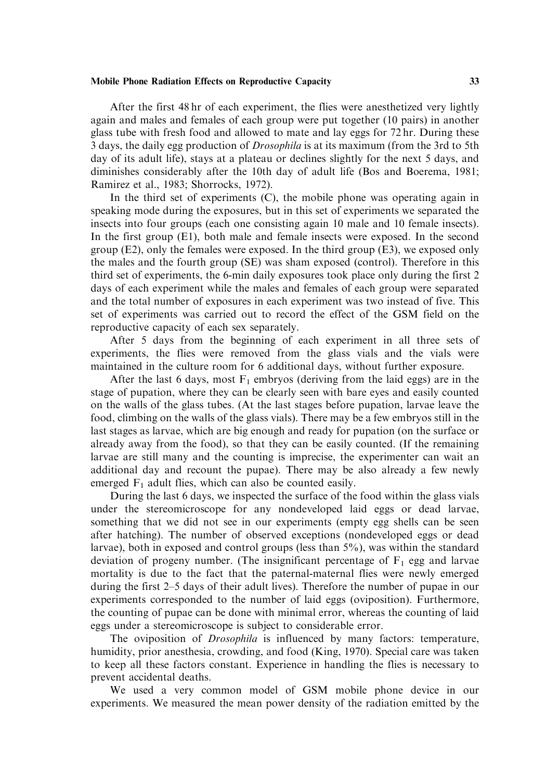After the first 48 hr of each experiment, the flies were anesthetized very lightly again and males and females of each group were put together (10 pairs) in another glass tube with fresh food and allowed to mate and lay eggs for 72 hr. During these 3 days, the daily egg production of *Drosophila* is at its maximum (from the 3rd to 5th day of its adult life), stays at a plateau or declines slightly for the next 5 days, and diminishes considerably after the 10th day of adult life (Bos and Boerema, 1981; Ramirez et al., 1983; Shorrocks, 1972).

In the third set of experiments (C), the mobile phone was operating again in speaking mode during the exposures, but in this set of experiments we separated the insects into four groups (each one consisting again 10 male and 10 female insects). In the first group (E1), both male and female insects were exposed. In the second group  $(E2)$ , only the females were exposed. In the third group  $(E3)$ , we exposed only the males and the fourth group (SE) was sham exposed (control). Therefore in this third set of experiments, the 6-min daily exposures took place only during the first 2 days of each experiment while the males and females of each group were separated and the total number of exposures in each experiment was two instead of five. This set of experiments was carried out to record the effect of the GSM field on the reproductive capacity of each sex separately.

After 5 days from the beginning of each experiment in all three sets of experiments, the flies were removed from the glass vials and the vials were maintained in the culture room for 6 additional days, without further exposure.

After the last 6 days, most  $F_1$  embryos (deriving from the laid eggs) are in the stage of pupation, where they can be clearly seen with bare eyes and easily counted on the walls of the glass tubes. (At the last stages before pupation, larvae leave the food, climbing on the walls of the glass vials). There may be a few embryos still in the last stages as larvae, which are big enough and ready for pupation (on the surface or already away from the food), so that they can be easily counted. (If the remaining larvae are still many and the counting is imprecise, the experimenter can wait an additional day and recount the pupae). There may be also already a few newly emerged  $F_1$  adult flies, which can also be counted easily.

During the last 6 days, we inspected the surface of the food within the glass vials under the stereomicroscope for any nondeveloped laid eggs or dead larvae, something that we did not see in our experiments (empty egg shells can be seen after hatching). The number of observed exceptions (nondeveloped eggs or dead larvae), both in exposed and control groups (less than 5%), was within the standard deviation of progeny number. (The insignificant percentage of  $F_1$  egg and larvae mortality is due to the fact that the paternal-maternal flies were newly emerged during the first 2–5 days of their adult lives). Therefore the number of pupae in our experiments corresponded to the number of laid eggs (oviposition). Furthermore, the counting of pupae can be done with minimal error, whereas the counting of laid eggs under a stereomicroscope is subject to considerable error.

The oviposition of Drosophila is influenced by many factors: temperature, humidity, prior anesthesia, crowding, and food (King, 1970). Special care was taken to keep all these factors constant. Experience in handling the flies is necessary to prevent accidental deaths.

We used a very common model of GSM mobile phone device in our experiments. We measured the mean power density of the radiation emitted by the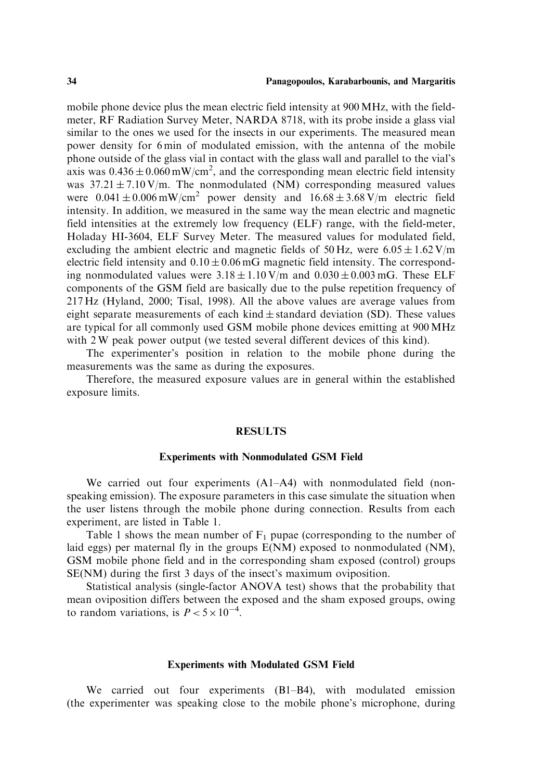mobile phone device plus the mean electric field intensity at 900 MHz, with the fieldmeter, RF Radiation Survey Meter, NARDA 8718, with its probe inside a glass vial similar to the ones we used for the insects in our experiments. The measured mean power density for 6 min of modulated emission, with the antenna of the mobile phone outside of the glass vial in contact with the glass wall and parallel to the vial's axis was  $0.436 \pm 0.060$  mW/cm<sup>2</sup>, and the corresponding mean electric field intensity was  $37.21 \pm 7.10 \text{ V/m}$ . The nonmodulated (NM) corresponding measured values were  $0.041 \pm 0.006$  mW/cm<sup>2</sup> power density and  $16.68 \pm 3.68$  V/m electric field intensity. In addition, we measured in the same way the mean electric and magnetic field intensities at the extremely low frequency (ELF) range, with the field-meter, Holaday HI-3604, ELF Survey Meter. The measured values for modulated field, excluding the ambient electric and magnetic fields of 50 Hz, were  $6.05 \pm 1.62$  V/m electric field intensity and  $0.10 \pm 0.06$  mG magnetic field intensity. The corresponding nonmodulated values were  $3.18 \pm 1.10 \text{ V/m}$  and  $0.030 \pm 0.003 \text{ mG}$ . These ELF components of the GSM field are basically due to the pulse repetition frequency of 217 Hz (Hyland, 2000; Tisal, 1998). All the above values are average values from eight separate measurements of each kind  $\pm$  standard deviation (SD). These values are typical for all commonly used GSM mobile phone devices emitting at 900 MHz with 2 W peak power output (we tested several different devices of this kind).

The experimenter's position in relation to the mobile phone during the measurements was the same as during the exposures.

Therefore, the measured exposure values are in general within the established exposure limits.

#### **RESULTS**

#### Experiments with Nonmodulated GSM Field

We carried out four experiments (A1–A4) with nonmodulated field (nonspeaking emission). The exposure parameters in this case simulate the situation when the user listens through the mobile phone during connection. Results from each experiment, are listed in Table 1.

Table 1 shows the mean number of  $F_1$  pupae (corresponding to the number of laid eggs) per maternal fly in the groups E(NM) exposed to nonmodulated (NM), GSM mobile phone field and in the corresponding sham exposed (control) groups SE(NM) during the first 3 days of the insect's maximum oviposition.

Statistical analysis (single-factor ANOVA test) shows that the probability that mean oviposition differs between the exposed and the sham exposed groups, owing to random variations, is  $P < 5 \times 10^{-4}$ .

#### Experiments with Modulated GSM Field

We carried out four experiments (B1–B4), with modulated emission (the experimenter was speaking close to the mobile phone's microphone, during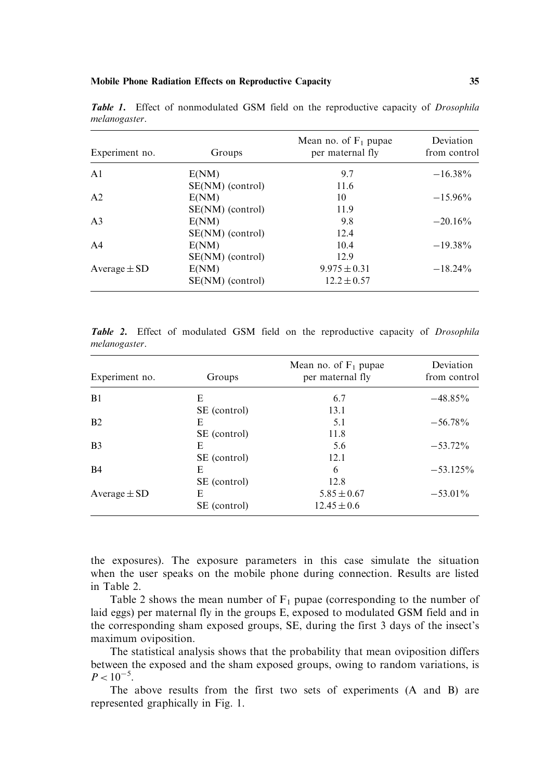| Experiment no.   | Groups           | Mean no. of $F_1$ pupae<br>per maternal fly | Deviation<br>from control |
|------------------|------------------|---------------------------------------------|---------------------------|
| A <sub>1</sub>   | E(NM)            | 9.7                                         | $-16.38\%$                |
|                  | SE(NM) (control) | 11.6                                        |                           |
| A <sub>2</sub>   | E(NM)            | 10                                          | $-15.96\%$                |
|                  | SE(NM) (control) | 11.9                                        |                           |
| A <sub>3</sub>   | E(NM)            | 9.8                                         | $-20.16\%$                |
|                  | SE(NM) (control) | 12.4                                        |                           |
| A <sub>4</sub>   | E(NM)            | 10.4                                        | $-19.38\%$                |
|                  | SE(NM) (control) | 12.9                                        |                           |
| Average $\pm$ SD | E(NM)            | $9.975 \pm 0.31$                            | $-18.24\%$                |
|                  | SE(NM) (control) | $12.2 \pm 0.57$                             |                           |

Table 1. Effect of nonmodulated GSM field on the reproductive capacity of *Drosophila* melanogaster.

Table 2. Effect of modulated GSM field on the reproductive capacity of Drosophila melanogaster.

| Experiment no.   | Groups       | Mean no. of $F_1$ pupae<br>per maternal fly | Deviation<br>from control |
|------------------|--------------|---------------------------------------------|---------------------------|
| B1               | E            | 6.7                                         | $-48.85\%$                |
|                  | SE (control) | 13.1                                        |                           |
| B <sub>2</sub>   | E            | 5.1                                         | $-56.78\%$                |
|                  | SE (control) | 11.8                                        |                           |
| B <sub>3</sub>   | E            | 5.6                                         | $-53.72\%$                |
|                  | SE (control) | 12.1                                        |                           |
| B <sub>4</sub>   | E            | 6                                           | $-53.125\%$               |
|                  | SE (control) | 12.8                                        |                           |
| Average $\pm$ SD | E            | $5.85 \pm 0.67$                             | $-53.01\%$                |
|                  | SE (control) | $12.45 \pm 0.6$                             |                           |

the exposures). The exposure parameters in this case simulate the situation when the user speaks on the mobile phone during connection. Results are listed in Table 2.

Table 2 shows the mean number of  $F_1$  pupae (corresponding to the number of laid eggs) per maternal fly in the groups E, exposed to modulated GSM field and in the corresponding sham exposed groups, SE, during the first 3 days of the insect's maximum oviposition.

The statistical analysis shows that the probability that mean oviposition differs between the exposed and the sham exposed groups, owing to random variations, is  $P < 10^{-5}$ .

The above results from the first two sets of experiments (A and B) are represented graphically in Fig. 1.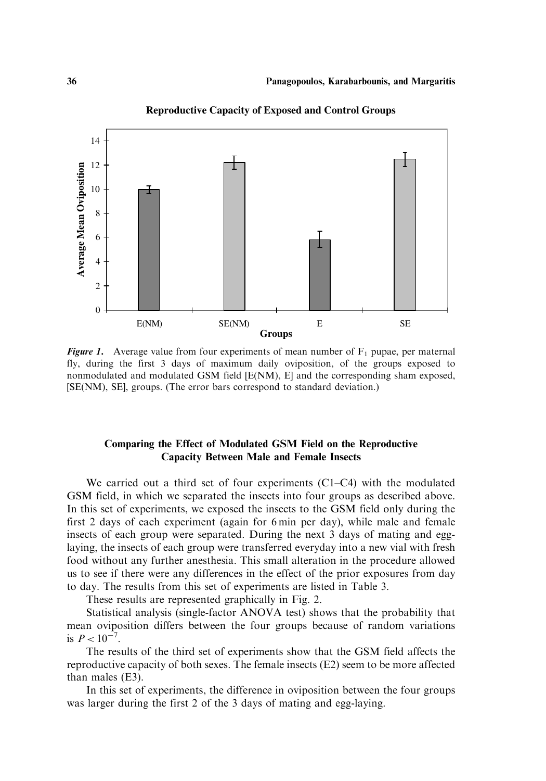

**Reproductive Capacity of Exposed and Control Groups**

**Figure 1.** Average value from four experiments of mean number of  $F_1$  pupae, per maternal fly, during the first 3 days of maximum daily oviposition, of the groups exposed to nonmodulated and modulated GSM field [E(NM), E] and the corresponding sham exposed, [SE(NM), SE], groups. (The error bars correspond to standard deviation.)

## Comparing the Effect of Modulated GSM Field on the Reproductive Capacity Between Male and Female Insects

We carried out a third set of four experiments (C1–C4) with the modulated GSM field, in which we separated the insects into four groups as described above. In this set of experiments, we exposed the insects to the GSM field only during the first 2 days of each experiment (again for 6 min per day), while male and female insects of each group were separated. During the next 3 days of mating and egglaying, the insects of each group were transferred everyday into a new vial with fresh food without any further anesthesia. This small alteration in the procedure allowed us to see if there were any differences in the effect of the prior exposures from day to day. The results from this set of experiments are listed in Table 3.

These results are represented graphically in Fig. 2.

Statistical analysis (single-factor ANOVA test) shows that the probability that mean oviposition differs between the four groups because of random variations is  $P < 10^{-7}$ .

The results of the third set of experiments show that the GSM field affects the reproductive capacity of both sexes. The female insects (E2) seem to be more affected than males (E3).

In this set of experiments, the difference in oviposition between the four groups was larger during the first 2 of the 3 days of mating and egg-laying.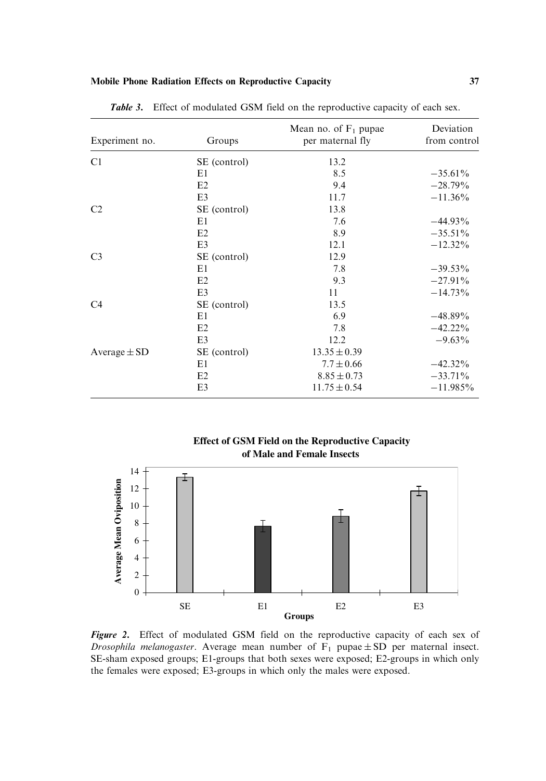| Experiment no.   | Groups         | Mean no. of $F_1$ pupae<br>per maternal fly | Deviation<br>from control |
|------------------|----------------|---------------------------------------------|---------------------------|
| C1               | SE (control)   | 13.2                                        |                           |
|                  | E1             | 8.5                                         | $-35.61\%$                |
|                  | E2             | 9.4                                         | $-28.79\%$                |
|                  | E3             | 11.7                                        | $-11.36\%$                |
| C <sub>2</sub>   | SE (control)   | 13.8                                        |                           |
|                  | E1             | 7.6                                         | $-44.93\%$                |
|                  | E2             | 8.9                                         | $-35.51\%$                |
|                  | E <sub>3</sub> | 12.1                                        | $-12.32\%$                |
| C <sub>3</sub>   | SE (control)   | 12.9                                        |                           |
|                  | E1             | 7.8                                         | $-39.53\%$                |
|                  | E2             | 9.3                                         | $-27.91\%$                |
|                  | E <sub>3</sub> | 11                                          | $-14.73%$                 |
| C <sub>4</sub>   | SE (control)   | 13.5                                        |                           |
|                  | E1             | 6.9                                         | $-48.89\%$                |
|                  | E2             | 7.8                                         | $-42.22\%$                |
|                  | E <sub>3</sub> | 12.2                                        | $-9.63\%$                 |
| Average $\pm$ SD | SE (control)   | $13.35 \pm 0.39$                            |                           |
|                  | E1             | $7.7 \pm 0.66$                              | $-42.32\%$                |
|                  | E2             | $8.85 \pm 0.73$                             | $-33.71\%$                |
|                  | E <sub>3</sub> | $11.75 \pm 0.54$                            | $-11.985\%$               |

Table 3. Effect of modulated GSM field on the reproductive capacity of each sex.

 **Effect of GSM Field on the Reproductive Capacity of Male and Female Insects**



Figure 2. Effect of modulated GSM field on the reproductive capacity of each sex of *Drosophila melanogaster*. Average mean number of  $F_1$  pupae  $\pm$  SD per maternal insect. SE-sham exposed groups; E1-groups that both sexes were exposed; E2-groups in which only the females were exposed; E3-groups in which only the males were exposed.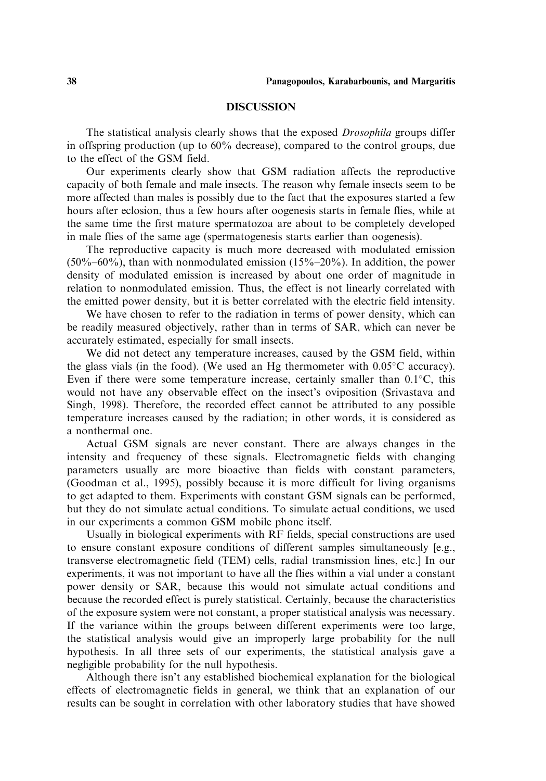#### **DISCUSSION**

The statistical analysis clearly shows that the exposed *Drosophila* groups differ in offspring production (up to 60% decrease), compared to the control groups, due to the effect of the GSM field.

Our experiments clearly show that GSM radiation affects the reproductive capacity of both female and male insects. The reason why female insects seem to be more affected than males is possibly due to the fact that the exposures started a few hours after eclosion, thus a few hours after oogenesis starts in female flies, while at the same time the first mature spermatozoa are about to be completely developed in male flies of the same age (spermatogenesis starts earlier than oogenesis).

The reproductive capacity is much more decreased with modulated emission  $(50\% - 60\%)$ , than with nonmodulated emission  $(15\% - 20\%)$ . In addition, the power density of modulated emission is increased by about one order of magnitude in relation to nonmodulated emission. Thus, the effect is not linearly correlated with the emitted power density, but it is better correlated with the electric field intensity.

We have chosen to refer to the radiation in terms of power density, which can be readily measured objectively, rather than in terms of SAR, which can never be accurately estimated, especially for small insects.

We did not detect any temperature increases, caused by the GSM field, within the glass vials (in the food). (We used an Hg thermometer with  $0.05^{\circ}$ C accuracy). Even if there were some temperature increase, certainly smaller than  $0.1^{\circ}$ C, this would not have any observable effect on the insect's oviposition (Srivastava and Singh, 1998). Therefore, the recorded effect cannot be attributed to any possible temperature increases caused by the radiation; in other words, it is considered as a nonthermal one.

Actual GSM signals are never constant. There are always changes in the intensity and frequency of these signals. Electromagnetic fields with changing parameters usually are more bioactive than fields with constant parameters, (Goodman et al., 1995), possibly because it is more difficult for living organisms to get adapted to them. Experiments with constant GSM signals can be performed, but they do not simulate actual conditions. To simulate actual conditions, we used in our experiments a common GSM mobile phone itself.

Usually in biological experiments with RF fields, special constructions are used to ensure constant exposure conditions of different samples simultaneously [e.g., transverse electromagnetic field (TEM) cells, radial transmission lines, etc.] In our experiments, it was not important to have all the flies within a vial under a constant power density or SAR, because this would not simulate actual conditions and because the recorded effect is purely statistical. Certainly, because the characteristics of the exposure system were not constant, a proper statistical analysis was necessary. If the variance within the groups between different experiments were too large, the statistical analysis would give an improperly large probability for the null hypothesis. In all three sets of our experiments, the statistical analysis gave a negligible probability for the null hypothesis.

Although there isn't any established biochemical explanation for the biological effects of electromagnetic fields in general, we think that an explanation of our results can be sought in correlation with other laboratory studies that have showed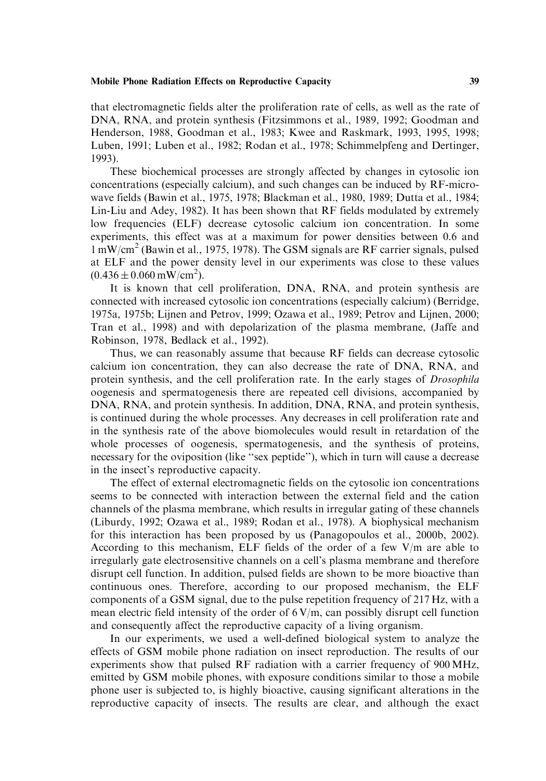that electromagnetic fields alter the proliferation rate of cells, as well as the rate of DNA, RNA, and protein synthesis (Fitzsimmons et al., 1989, 1992; Goodman and Henderson, 1988, Goodman et al., 1983; Kwee and Raskmark, 1993, 1995, 1998; Luben, 1991; Luben et al., 1982; Rodan et al., 1978; Schimmelpfeng and Dertinger, 1993).

These biochemical processes are strongly affected by changes in cytosolic ion concentrations (especially calcium), and such changes can be induced by RF-microwave fields (Bawin et al., 1975, 1978; Blackman et al., 1980, 1989; Dutta et al., 1984; Lin-Liu and Adey, 1982). It has been shown that RF fields modulated by extremely low frequencies (ELF) decrease cytosolic calcium ion concentration. In some experiments, this effect was at a maximum for power densities between 0.6 and 1 mW/cm<sup>2</sup> (Bawin et al., 1975, 1978). The GSM signals are RF carrier signals, pulsed at ELF and the power density level in our experiments was close to these values  $(0.436 \pm 0.060 \,\mathrm{mW/cm^2}).$ 

It is known that cell proliferation, DNA, RNA, and protein synthesis are connected with increased cytosolic ion concentrations (especially calcium) (Berridge, 1975a, 1975b; Lijnen and Petrov, 1999; Ozawa et al., 1989; Petrov and Lijnen, 2000; Tran et al., 1998) and with depolarization of the plasma membrane, (Jaffe and Robinson, 1978, Bedlack et al., 1992).

Thus, we can reasonably assume that because RF fields can decrease cytosolic calcium ion concentration, they can also decrease the rate of DNA, RNA, and protein synthesis, and the cell proliferation rate. In the early stages of Drosophila oogenesis and spermatogenesis there are repeated cell divisions, accompanied by DNA, RNA, and protein synthesis. In addition, DNA, RNA, and protein synthesis, is continued during the whole processes. Any decreases in cell proliferation rate and in the synthesis rate of the above biomolecules would result in retardation of the whole processes of oogenesis, spermatogenesis, and the synthesis of proteins, necessary for the oviposition (like ''sex peptide''), which in turn will cause a decrease in the insect's reproductive capacity.

The effect of external electromagnetic fields on the cytosolic ion concentrations seems to be connected with interaction between the external field and the cation channels of the plasma membrane, which results in irregular gating of these channels (Liburdy, 1992; Ozawa et al., 1989; Rodan et al., 1978). A biophysical mechanism for this interaction has been proposed by us (Panagopoulos et al., 2000b, 2002). According to this mechanism, ELF fields of the order of a few V/m are able to irregularly gate electrosensitive channels on a cell's plasma membrane and therefore disrupt cell function. In addition, pulsed fields are shown to be more bioactive than continuous ones. Therefore, according to our proposed mechanism, the ELF components of a GSM signal, due to the pulse repetition frequency of 217 Hz, with a mean electric field intensity of the order of  $6 V/m$ , can possibly disrupt cell function and consequently affect the reproductive capacity of a living organism.

In our experiments, we used a well-defined biological system to analyze the effects of GSM mobile phone radiation on insect reproduction. The results of our experiments show that pulsed RF radiation with a carrier frequency of 900 MHz, emitted by GSM mobile phones, with exposure conditions similar to those a mobile phone user is subjected to, is highly bioactive, causing significant alterations in the reproductive capacity of insects. The results are clear, and although the exact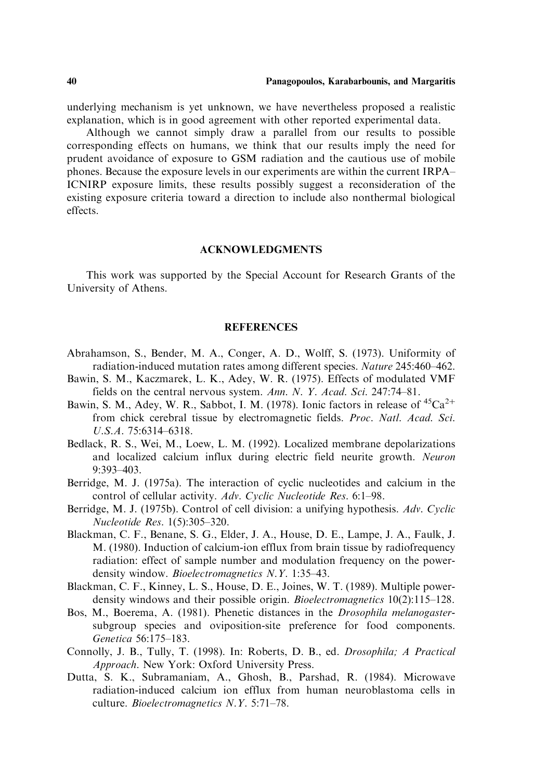underlying mechanism is yet unknown, we have nevertheless proposed a realistic explanation, which is in good agreement with other reported experimental data.

Although we cannot simply draw a parallel from our results to possible corresponding effects on humans, we think that our results imply the need for prudent avoidance of exposure to GSM radiation and the cautious use of mobile phones. Because the exposure levels in our experiments are within the current IRPA– ICNIRP exposure limits, these results possibly suggest a reconsideration of the existing exposure criteria toward a direction to include also nonthermal biological effects.

## ACKNOWLEDGMENTS

This work was supported by the Special Account for Research Grants of the University of Athens.

### REFERENCES

- Abrahamson, S., Bender, M. A., Conger, A. D., Wolff, S. (1973). Uniformity of radiation-induced mutation rates among different species. Nature 245:460–462.
- Bawin, S. M., Kaczmarek, L. K., Adey, W. R. (1975). Effects of modulated VMF fields on the central nervous system. Ann. N. Y. Acad. Sci. 247:74–81.
- Bawin, S. M., Adey, W. R., Sabbot, I. M. (1978). Ionic factors in release of  ${}^{45}Ca^{2+}$ from chick cerebral tissue by electromagnetic fields. Proc. Natl. Acad. Sci. U.S.A. 75:6314–6318.
- Bedlack, R. S., Wei, M., Loew, L. M. (1992). Localized membrane depolarizations and localized calcium influx during electric field neurite growth. Neuron 9:393–403.
- Berridge, M. J. (1975a). The interaction of cyclic nucleotides and calcium in the control of cellular activity. Adv. Cyclic Nucleotide Res. 6:1–98.
- Berridge, M. J. (1975b). Control of cell division: a unifying hypothesis. Adv. Cyclic Nucleotide Res. 1(5):305–320.
- Blackman, C. F., Benane, S. G., Elder, J. A., House, D. E., Lampe, J. A., Faulk, J. M. (1980). Induction of calcium-ion efflux from brain tissue by radiofrequency radiation: effect of sample number and modulation frequency on the powerdensity window. *Bioelectromagnetics N.Y.* 1:35–43.
- Blackman, C. F., Kinney, L. S., House, D. E., Joines, W. T. (1989). Multiple powerdensity windows and their possible origin. *Bioelectromagnetics* 10(2):115–128.
- Bos, M., Boerema, A. (1981). Phenetic distances in the Drosophila melanogastersubgroup species and oviposition-site preference for food components. Genetica 56:175–183.
- Connolly, J. B., Tully, T. (1998). In: Roberts, D. B., ed. Drosophila; A Practical Approach. New York: Oxford University Press.
- Dutta, S. K., Subramaniam, A., Ghosh, B., Parshad, R. (1984). Microwave radiation-induced calcium ion efflux from human neuroblastoma cells in culture. Bioelectromagnetics N.Y. 5:71–78.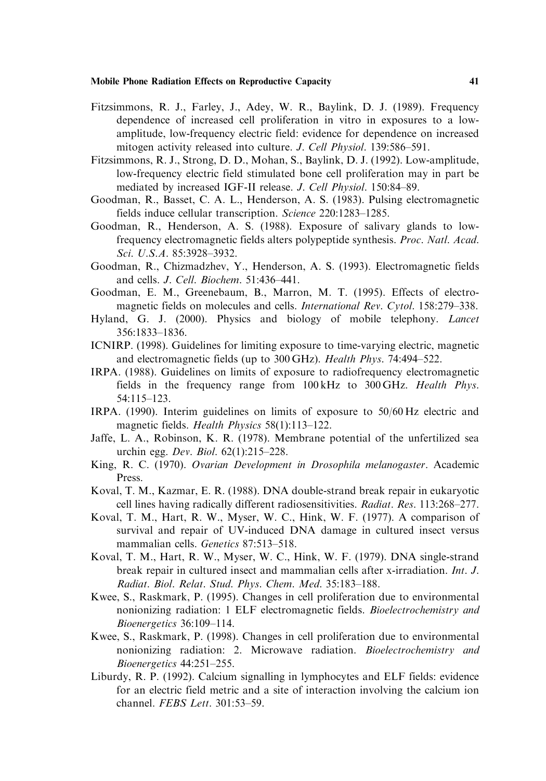- Fitzsimmons, R. J., Farley, J., Adey, W. R., Baylink, D. J. (1989). Frequency dependence of increased cell proliferation in vitro in exposures to a lowamplitude, low-frequency electric field: evidence for dependence on increased mitogen activity released into culture. J. Cell Physiol. 139:586–591.
- Fitzsimmons, R. J., Strong, D. D., Mohan, S., Baylink, D. J. (1992). Low-amplitude, low-frequency electric field stimulated bone cell proliferation may in part be mediated by increased IGF-II release. J. Cell Physiol. 150:84–89.
- Goodman, R., Basset, C. A. L., Henderson, A. S. (1983). Pulsing electromagnetic fields induce cellular transcription. Science 220:1283–1285.
- Goodman, R., Henderson, A. S. (1988). Exposure of salivary glands to lowfrequency electromagnetic fields alters polypeptide synthesis. Proc. Natl. Acad. Sci. U.S.A. 85:3928–3932.
- Goodman, R., Chizmadzhev, Y., Henderson, A. S. (1993). Electromagnetic fields and cells. J. Cell. Biochem. 51:436–441.
- Goodman, E. M., Greenebaum, B., Marron, M. T. (1995). Effects of electromagnetic fields on molecules and cells. International Rev. Cytol. 158:279–338.
- Hyland, G. J. (2000). Physics and biology of mobile telephony. Lancet 356:1833–1836.
- ICNIRP. (1998). Guidelines for limiting exposure to time-varying electric, magnetic and electromagnetic fields (up to 300 GHz). Health Phys. 74:494–522.
- IRPA. (1988). Guidelines on limits of exposure to radiofrequency electromagnetic fields in the frequency range from 100 kHz to 300 GHz. Health Phys. 54:115–123.
- IRPA. (1990). Interim guidelines on limits of exposure to 50/60 Hz electric and magnetic fields. Health Physics 58(1):113–122.
- Jaffe, L. A., Robinson, K. R. (1978). Membrane potential of the unfertilized sea urchin egg. Dev. Biol. 62(1):215–228.
- King, R. C. (1970). Ovarian Development in Drosophila melanogaster. Academic Press.
- Koval, T. M., Kazmar, E. R. (1988). DNA double-strand break repair in eukaryotic cell lines having radically different radiosensitivities. Radiat. Res. 113:268–277.
- Koval, T. M., Hart, R. W., Myser, W. C., Hink, W. F. (1977). A comparison of survival and repair of UV-induced DNA damage in cultured insect versus mammalian cells. Genetics 87:513-518.
- Koval, T. M., Hart, R. W., Myser, W. C., Hink, W. F. (1979). DNA single-strand break repair in cultured insect and mammalian cells after x-irradiation. Int. J. Radiat. Biol. Relat. Stud. Phys. Chem. Med. 35:183–188.
- Kwee, S., Raskmark, P. (1995). Changes in cell proliferation due to environmental nonionizing radiation: 1 ELF electromagnetic fields. Bioelectrochemistry and Bioenergetics 36:109–114.
- Kwee, S., Raskmark, P. (1998). Changes in cell proliferation due to environmental nonionizing radiation: 2. Microwave radiation. Bioelectrochemistry and Bioenergetics 44:251–255.
- Liburdy, R. P. (1992). Calcium signalling in lymphocytes and ELF fields: evidence for an electric field metric and a site of interaction involving the calcium ion channel. FEBS Lett. 301:53–59.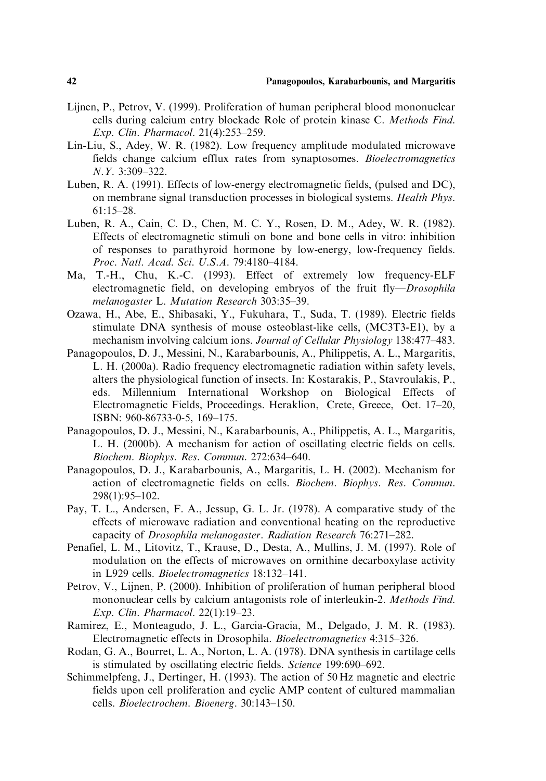- Lijnen, P., Petrov, V. (1999). Proliferation of human peripheral blood mononuclear cells during calcium entry blockade Role of protein kinase C. Methods Find. Exp. Clin. Pharmacol. 21(4):253–259.
- Lin-Liu, S., Adey, W. R. (1982). Low frequency amplitude modulated microwave fields change calcium efflux rates from synaptosomes. Bioelectromagnetics N.Y. 3:309–322.
- Luben, R. A. (1991). Effects of low-energy electromagnetic fields, (pulsed and DC), on membrane signal transduction processes in biological systems. Health Phys. 61:15–28.
- Luben, R. A., Cain, C. D., Chen, M. C. Y., Rosen, D. M., Adey, W. R. (1982). Effects of electromagnetic stimuli on bone and bone cells in vitro: inhibition of responses to parathyroid hormone by low-energy, low-frequency fields. Proc. Natl. Acad. Sci. U.S.A. 79:4180–4184.
- Ma, T.-H., Chu, K.-C. (1993). Effect of extremely low frequency-ELF electromagnetic field, on developing embryos of the fruit fly-Drosophila melanogaster L. Mutation Research 303:35–39.
- Ozawa, H., Abe, E., Shibasaki, Y., Fukuhara, T., Suda, T. (1989). Electric fields stimulate DNA synthesis of mouse osteoblast-like cells, (MC3T3-E1), by a mechanism involving calcium ions. Journal of Cellular Physiology 138:477–483.
- Panagopoulos, D. J., Messini, N., Karabarbounis, A., Philippetis, A. L., Margaritis, L. H. (2000a). Radio frequency electromagnetic radiation within safety levels, alters the physiological function of insects. In: Kostarakis, P., Stavroulakis, P., eds. Millennium International Workshop on Biological Effects of Electromagnetic Fields, Proceedings. Heraklion, Crete, Greece, Oct. 17–20, ISBN: 960-86733-0-5, 169–175.
- Panagopoulos, D. J., Messini, N., Karabarbounis, A., Philippetis, A. L., Margaritis, L. H. (2000b). A mechanism for action of oscillating electric fields on cells. Biochem. Biophys. Res. Commun. 272:634–640.
- Panagopoulos, D. J., Karabarbounis, A., Margaritis, L. H. (2002). Mechanism for action of electromagnetic fields on cells. Biochem. Biophys. Res. Commun. 298(1):95–102.
- Pay, T. L., Andersen, F. A., Jessup, G. L. Jr. (1978). A comparative study of the effects of microwave radiation and conventional heating on the reproductive capacity of Drosophila melanogaster. Radiation Research 76:271–282.
- Penafiel, L. M., Litovitz, T., Krause, D., Desta, A., Mullins, J. M. (1997). Role of modulation on the effects of microwaves on ornithine decarboxylase activity in L929 cells. Bioelectromagnetics 18:132–141.
- Petrov, V., Lijnen, P. (2000). Inhibition of proliferation of human peripheral blood mononuclear cells by calcium antagonists role of interleukin-2. Methods Find. Exp. Clin. Pharmacol. 22(1):19–23.
- Ramirez, E., Monteagudo, J. L., Garcia-Gracia, M., Delgado, J. M. R. (1983). Electromagnetic effects in Drosophila. Bioelectromagnetics 4:315–326.
- Rodan, G. A., Bourret, L. A., Norton, L. A. (1978). DNA synthesis in cartilage cells is stimulated by oscillating electric fields. Science 199:690–692.
- Schimmelpfeng, J., Dertinger, H. (1993). The action of 50 Hz magnetic and electric fields upon cell proliferation and cyclic AMP content of cultured mammalian cells. Bioelectrochem. Bioenerg. 30:143–150.